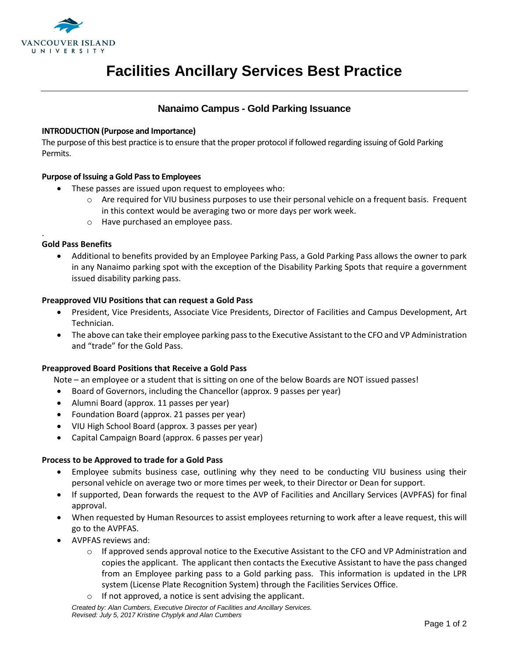

# **Facilities Ancillary Services Best Practice**

### **Nanaimo Campus - Gold Parking Issuance**

#### **INTRODUCTION (Purpose and Importance)**

The purpose of this best practice is to ensure that the proper protocol if followed regarding issuing of Gold Parking Permits.

### **Purpose of Issuing a Gold Pass to Employees**

- These passes are issued upon request to employees who:
	- $\circ$  Are required for VIU business purposes to use their personal vehicle on a frequent basis. Frequent in this context would be averaging two or more days per work week.
	- o Have purchased an employee pass.

#### **Gold Pass Benefits**

.

 Additional to benefits provided by an Employee Parking Pass, a Gold Parking Pass allows the owner to park in any Nanaimo parking spot with the exception of the Disability Parking Spots that require a government issued disability parking pass.

#### **Preapproved VIU Positions that can request a Gold Pass**

- President, Vice Presidents, Associate Vice Presidents, Director of Facilities and Campus Development, Art Technician.
- The above can take their employee parking pass to the Executive Assistant to the CFO and VP Administration and "trade" for the Gold Pass.

#### **Preapproved Board Positions that Receive a Gold Pass**

Note – an employee or a student that is sitting on one of the below Boards are NOT issued passes!

- Board of Governors, including the Chancellor (approx. 9 passes per year)
- Alumni Board (approx. 11 passes per year)
- Foundation Board (approx. 21 passes per year)
- VIU High School Board (approx. 3 passes per year)
- Capital Campaign Board (approx. 6 passes per year)

#### **Process to be Approved to trade for a Gold Pass**

- Employee submits business case, outlining why they need to be conducting VIU business using their personal vehicle on average two or more times per week, to their Director or Dean for support.
- If supported, Dean forwards the request to the AVP of Facilities and Ancillary Services (AVPFAS) for final approval.
- When requested by Human Resources to assist employees returning to work after a leave request, this will go to the AVPFAS.
- AVPFAS reviews and:
	- $\circ$  If approved sends approval notice to the Executive Assistant to the CFO and VP Administration and copies the applicant. The applicant then contacts the Executive Assistant to have the pass changed from an Employee parking pass to a Gold parking pass. This information is updated in the LPR system (License Plate Recognition System) through the Facilities Services Office.
	- If not approved, a notice is sent advising the applicant.

*Created by: Alan Cumbers, Executive Director of Facilities and Ancillary Services. Revised: July 5, 2017 Kristine Chyplyk and Alan Cumbers*